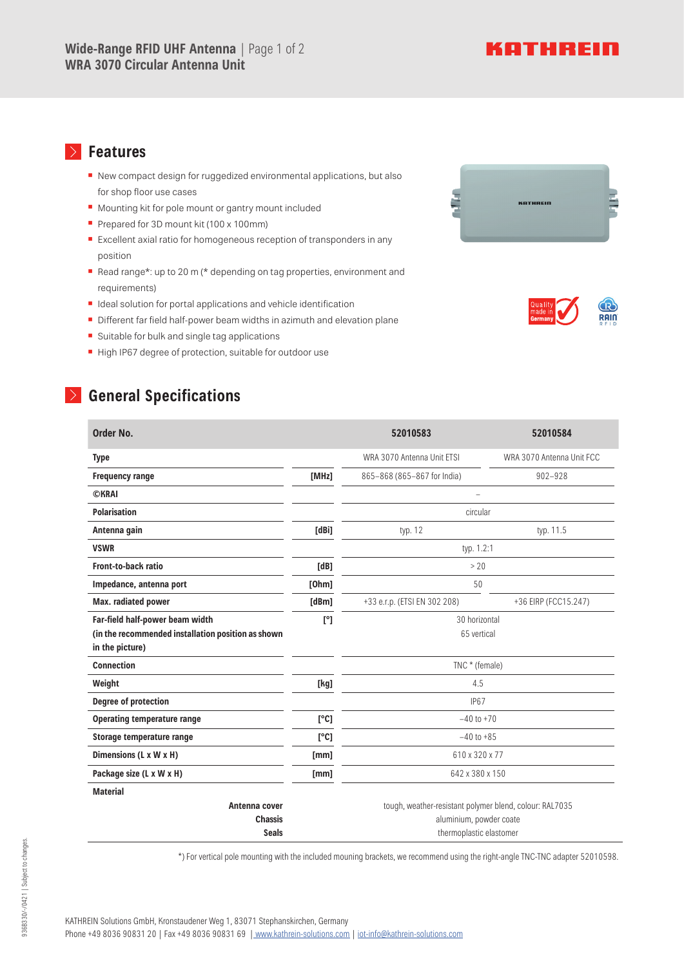## KATHREIN

#### **Features**  $\rightarrow$

- New compact design for ruggedized environmental applications, but also for shop floor use cases
- **▪** Mounting kit for pole mount or gantry mount included
- Prepared for 3D mount kit (100 x 100mm)
- Excellent axial ratio for homogeneous reception of transponders in any position
- Read range\*: up to 20 m (\* depending on tag properties, environment and requirements)
- Ideal solution for portal applications and vehicle identification
- Different far field half-power beam widths in azimuth and elevation plane
- Suitable for bulk and single tag applications
- **▪** High IP67 degree of protection, suitable for outdoor use

### **General Specifications**

| Order No.                                          |              | 52010583                                                | 52010584                  |
|----------------------------------------------------|--------------|---------------------------------------------------------|---------------------------|
| <b>Type</b>                                        |              | WRA 3070 Antenna Unit ETSI                              | WRA 3070 Antenna Unit FCC |
| <b>Frequency range</b>                             | [MHz]        | 865-868 (865-867 for India)                             | $902 - 928$               |
| <b>CKRAI</b>                                       |              | $\overline{a}$                                          |                           |
| <b>Polarisation</b>                                |              | circular                                                |                           |
| Antenna gain                                       | [dBi]        | typ. 12                                                 | typ. 11.5                 |
| <b>VSWR</b>                                        |              | typ. 1.2:1                                              |                           |
| Front-to-back ratio                                | [dB]         | >20                                                     |                           |
| Impedance, antenna port                            | [Ohm]        | 50                                                      |                           |
| Max. radiated power                                | [dBm]        | +33 e.r.p. (ETSI EN 302 208)                            | +36 EIRP (FCC15.247)      |
| Far-field half-power beam width                    | $[^{\circ}]$ | 30 horizontal                                           |                           |
| (in the recommended installation position as shown |              | 65 vertical                                             |                           |
| in the picture)                                    |              |                                                         |                           |
| <b>Connection</b>                                  |              | TNC * (female)                                          |                           |
| Weight                                             | [kg]         | 4.5                                                     |                           |
| Degree of protection                               |              | <b>IP67</b>                                             |                           |
| <b>Operating temperature range</b>                 | [°C]         | $-40$ to $+70$                                          |                           |
| Storage temperature range                          | [°C]         | $-40$ to $+85$                                          |                           |
| Dimensions (L x W x H)                             | [mm]         | 610 x 320 x 77                                          |                           |
| Package size (L x W x H)                           | [mm]         | 642 x 380 x 150                                         |                           |
| <b>Material</b>                                    |              |                                                         |                           |
| Antenna cover                                      |              | tough, weather-resistant polymer blend, colour: RAL7035 |                           |
| <b>Chassis</b>                                     |              | aluminium, powder coate                                 |                           |
| <b>Seals</b>                                       |              | thermoplastic elastomer                                 |                           |

\*) For vertical pole mounting with the included mouning brackets, we recommend using the right-angle TNC-TNC adapter 52010598.